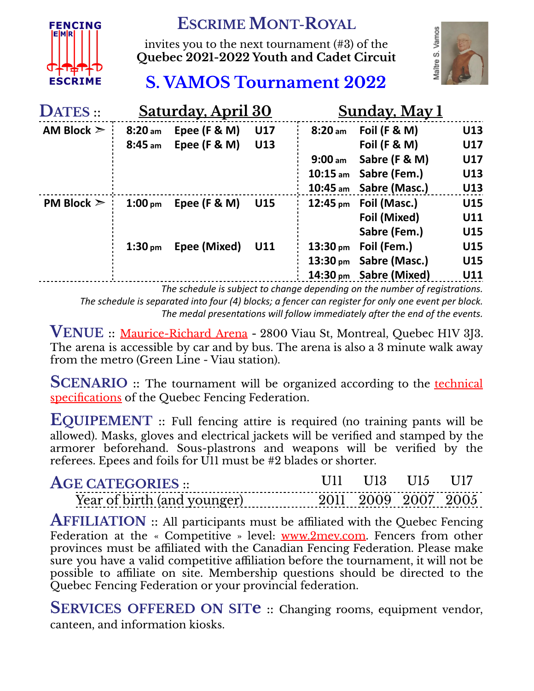

## **ESCRIME MONT-ROYAL**

invites you to the next tournament (#3) of the **Quebec 2021-2022 Youth and Cadet Circuit**



## **S. VAMOS Tournament 2022**

| DATES ::        | Saturday, April 30 |                |            |                    | <b>Sunday, May 1</b>            |            |  |
|-----------------|--------------------|----------------|------------|--------------------|---------------------------------|------------|--|
| AM Block $\geq$ | 8:20 <sub>am</sub> | Epee (F & M)   | <b>U17</b> | $8:20$ am          | <b>Foil (F &amp; M)</b>         | U13        |  |
|                 | $8:45$ am          | Epee $(F & M)$ | U13        |                    | Foil $(F & M)$                  | <b>U17</b> |  |
|                 |                    |                |            | 9:00 <sub>am</sub> | Sabre (F & M)                   | <b>U17</b> |  |
|                 |                    |                |            | $10:15$ am         | Sabre (Fem.)                    | U13        |  |
|                 |                    |                |            |                    | 10:45 am Sabre (Masc.)          | U13        |  |
| PM Block $\geq$ | 1:00 <sub>pm</sub> | Epee $(F & M)$ | <b>U15</b> |                    | $12:45 \text{ pm}$ Foil (Masc.) | <b>U15</b> |  |
|                 |                    |                |            |                    | Foil (Mixed)                    | U11        |  |
|                 |                    |                |            |                    | Sabre (Fem.)                    | U15        |  |
|                 | 1:30 <sub>pm</sub> | Epee (Mixed)   | U11        | $13:30 \text{ pm}$ | Foil (Fem.)                     | <b>U15</b> |  |
|                 |                    |                |            |                    | 13:30 pm Sabre (Masc.)          | U15        |  |
|                 |                    |                |            |                    | 14:30 pm Sabre (Mixed)          | U11        |  |

*The schedule is subject to change depending on the number of registrations. The schedule is separated into four (4) blocks; a fencer can register for only one event per block. The medal presentations will follow immediately after the end of the events.*

**VENUE** :: [Maurice-Richard](https://www.google.com/maps/place/Ar%C3%A9na+Maurice-Richard/@45.567508,-73.8418316,11z/data=!4m5!3m4!1s0x4cc91c12f8761ae3:0xcc485d727d1c2466!8m2!3d45.5626217!4d-73.5469964) Arena **-** <sup>2800</sup> Viau St, Montreal, Quebec H1V 3J3. The arena is accessible by car and by bus. The arena is also a 3 minute walk away from the metro (Green Line - Viau station).

**SCENARIO** :: The tournament will be organized according to the **[technical](https://www.escrimequebec.qc.ca/cahier-des-charges-2021-2022/)** [specifications](https://www.escrimequebec.qc.ca/cahier-des-charges-2021-2022/) of the Quebec Fencing Federation.

**EQUIPEMENT** :: Full fencing attire is required (no training pants will be allowed). Masks, gloves and electrical jackets will be verified and stamped by the armorer beforehand. Sous-plastrons and weapons will be verified by the referees. Epees and foils for U11 must be #2 blades or shorter.

| ACF CATFCORIFS                        | T 1 1 X | $\blacksquare$ |                |
|---------------------------------------|---------|----------------|----------------|
| Year of birth (and vounger)<br>------ |         | 9009-9007-9    | 900k<br>------ |

**AFFILIATION** :: All participants must be affiliated with the Quebec Fencing Federation at the « Competitive » level: [www.2mev.com.](https://2mev.com/#!/memberships/federation-descrime-du-quebec-adhesions-2021-2022) Fencers from other provinces must be affiliated with the Canadian Fencing Federation. Please make sure you have a valid competitive affiliation before the tournament, it will not be possible to affiliate on site. Membership questions should be directed to the Quebec Fencing Federation or your provincial federation.

**SERVICES OFFERED ON SITe** :: Changing rooms, equipment vendor, canteen, and information kiosks.